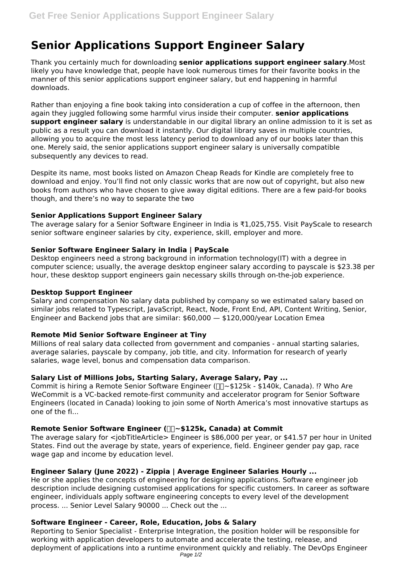# **Senior Applications Support Engineer Salary**

Thank you certainly much for downloading **senior applications support engineer salary**.Most likely you have knowledge that, people have look numerous times for their favorite books in the manner of this senior applications support engineer salary, but end happening in harmful downloads.

Rather than enjoying a fine book taking into consideration a cup of coffee in the afternoon, then again they juggled following some harmful virus inside their computer. **senior applications support engineer salary** is understandable in our digital library an online admission to it is set as public as a result you can download it instantly. Our digital library saves in multiple countries, allowing you to acquire the most less latency period to download any of our books later than this one. Merely said, the senior applications support engineer salary is universally compatible subsequently any devices to read.

Despite its name, most books listed on Amazon Cheap Reads for Kindle are completely free to download and enjoy. You'll find not only classic works that are now out of copyright, but also new books from authors who have chosen to give away digital editions. There are a few paid-for books though, and there's no way to separate the two

# **Senior Applications Support Engineer Salary**

The average salary for a Senior Software Engineer in India is ₹1,025,755. Visit PayScale to research senior software engineer salaries by city, experience, skill, employer and more.

# **Senior Software Engineer Salary in India | PayScale**

Desktop engineers need a strong background in information technology(IT) with a degree in computer science; usually, the average desktop engineer salary according to payscale is \$23.38 per hour, these desktop support engineers gain necessary skills through on-the-job experience.

#### **Desktop Support Engineer**

Salary and compensation No salary data published by company so we estimated salary based on similar jobs related to Typescript, JavaScript, React, Node, Front End, API, Content Writing, Senior, Engineer and Backend jobs that are similar: \$60,000 — \$120,000/year Location Emea

# **Remote Mid Senior Software Engineer at Tiny**

Millions of real salary data collected from government and companies - annual starting salaries, average salaries, payscale by company, job title, and city. Information for research of yearly salaries, wage level, bonus and compensation data comparison.

# **Salary List of Millions Jobs, Starting Salary, Average Salary, Pay ...**

Commit is hiring a Remote Senior Software Engineer ( $\Box \Box$  -\$125k - \$140k, Canada). !? Who Are WeCommit is a VC-backed remote-first community and accelerator program for Senior Software Engineers (located in Canada) looking to join some of North America's most innovative startups as one of the fi...

# **Remote Senior Software Engineer (** $\Box \sim $125k$ **, Canada) at Commit**

The average salary for  $\leq$ jobTitleArticle> Engineer is \$86,000 per year, or \$41.57 per hour in United States. Find out the average by state, years of experience, field. Engineer gender pay gap, race wage gap and income by education level.

# **Engineer Salary (June 2022) - Zippia | Average Engineer Salaries Hourly ...**

He or she applies the concepts of engineering for designing applications. Software engineer job description include designing customised applications for specific customers. In career as software engineer, individuals apply software engineering concepts to every level of the development process. ... Senior Level Salary 90000 ... Check out the ...

# **Software Engineer - Career, Role, Education, Jobs & Salary**

Reporting to Senior Specialist - Enterprise Integration, the position holder will be responsible for working with application developers to automate and accelerate the testing, release, and deployment of applications into a runtime environment quickly and reliably. The DevOps Engineer Page 1/2